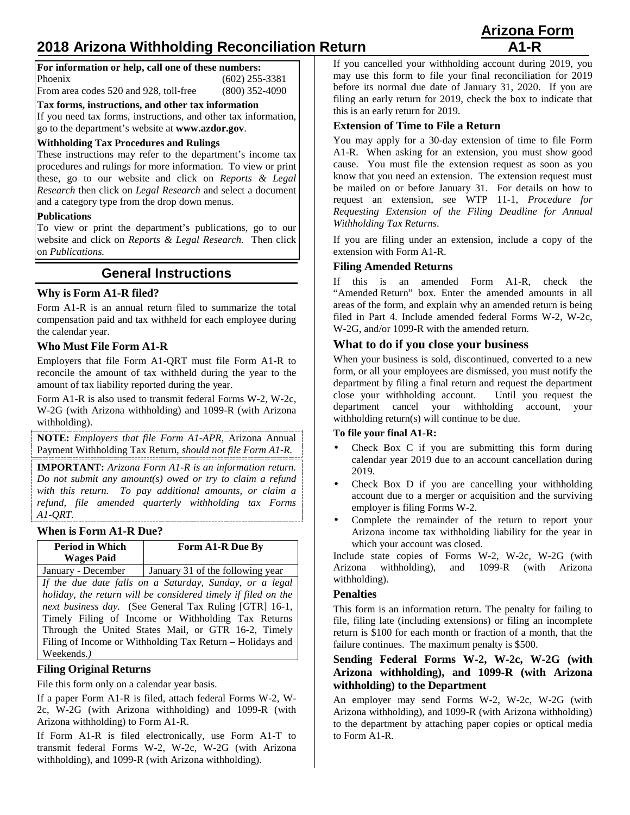# **2018 Arizona Withholding Reconciliation Return**

| <b>Arizona Form</b> |  |
|---------------------|--|
| $A1-R$              |  |

| For information or help, call one of these numbers: |                  |
|-----------------------------------------------------|------------------|
| Phoenix                                             | $(602)$ 255-3381 |
| From area codes 520 and 928, toll-free              | $(800)$ 352-4090 |

**Tax forms, instructions, and other tax information**

If you need tax forms, instructions, and other tax information, go to the department's website at **www.azdor.gov**.

#### **Withholding Tax Procedures and Rulings**

These instructions may refer to the department's income tax procedures and rulings for more information. To view or print these, go to our website and click on *Reports & Legal Research* then click on *Legal Research* and select a document and a category type from the drop down menus.

#### **Publications**

To view or print the department's publications, go to our website and click on *Reports & Legal Research.* Then click on *Publications.*

## **General Instructions**

#### **Why is Form A1-R filed?**

Form A1-R is an annual return filed to summarize the total compensation paid and tax withheld for each employee during the calendar year.

#### **Who Must File Form A1-R**

Employers that file Form A1-QRT must file Form A1-R to reconcile the amount of tax withheld during the year to the amount of tax liability reported during the year.

Form A1-R is also used to transmit federal Forms W-2, W-2c, W-2G (with Arizona withholding) and 1099-R (with Arizona withholding).

**NOTE:** *Employers that file Form A1-APR,* Arizona Annual Payment Withholding Tax Return*, should not file Form A1-R.*

**IMPORTANT:** *Arizona Form A1-R is an information return. Do not submit any amount(s) owed or try to claim a refund with this return. To pay additional amounts, or claim a refund, file amended quarterly withholding tax Forms A1-QRT.*

#### **When is Form A1-R Due?**

| <b>Period in Which</b><br><b>Wages Paid</b>                | Form A1-R Due By                 |
|------------------------------------------------------------|----------------------------------|
| January - December                                         | January 31 of the following year |
| If decided by the full case Community Country cases to all |                                  |

*If the due date falls on a Saturday, Sunday, or a legal holiday, the return will be considered timely if filed on the next business day.* (See General Tax Ruling [GTR] 16-1*,*  Timely Filing of Income or Withholding Tax Returns Through the United States Mail*,* or GTR 16-2, Timely Filing of Income or Withholding Tax Return – Holidays and Weekends.*)*

#### **Filing Original Returns**

File this form only on a calendar year basis.

If a paper Form A1-R is filed, attach federal Forms W-2, W-2c, W-2G (with Arizona withholding) and 1099-R (with Arizona withholding) to Form A1-R.

If Form A1-R is filed electronically, use Form A1-T to transmit federal Forms W-2, W-2c, W-2G (with Arizona withholding), and 1099-R (with Arizona withholding).

If you cancelled your withholding account during 2019, you may use this form to file your final reconciliation for 2019 before its normal due date of January 31, 2020. If you are filing an early return for 2019, check the box to indicate that this is an early return for 2019.

#### **Extension of Time to File a Return**

You may apply for a 30-day extension of time to file Form A1-R. When asking for an extension, you must show good cause. You must file the extension request as soon as you know that you need an extension. The extension request must be mailed on or before January 31. For details on how to request an extension, see WTP 11-1, *Procedure for Requesting Extension of the Filing Deadline for Annual Withholding Tax Returns*.

If you are filing under an extension, include a copy of the extension with Form A1-R.

#### **Filing Amended Returns**

If this is an amended Form A1-R, check the "Amended Return" box. Enter the amended amounts in all areas of the form, and explain why an amended return is being filed in Part 4. Include amended federal Forms W-2, W-2c, W-2G, and/or 1099-R with the amended return.

#### **What to do if you close your business**

When your business is sold, discontinued, converted to a new form, or all your employees are dismissed, you must notify the department by filing a final return and request the department close your withholding account. Until you request the department cancel your withholding account, your withholding return(s) will continue to be due.

#### **To file your final A1-R:**

- Check Box C if you are submitting this form during calendar year 2019 due to an account cancellation during 2019.
- Check Box D if you are cancelling your withholding account due to a merger or acquisition and the surviving employer is filing Forms W-2.
- Complete the remainder of the return to report your Arizona income tax withholding liability for the year in which your account was closed.

Include state copies of Forms W-2, W-2c, W-2G (with Arizona withholding), and 1099-R (with Arizona withholding).

#### **Penalties**

This form is an information return. The penalty for failing to file, filing late (including extensions) or filing an incomplete return is \$100 for each month or fraction of a month, that the failure continues. The maximum penalty is \$500.

#### **Sending Federal Forms W-2, W-2c, W-2G (with Arizona withholding), and 1099-R (with Arizona withholding) to the Department**

An employer may send Forms W-2, W-2c, W-2G (with Arizona withholding), and 1099-R (with Arizona withholding) to the department by attaching paper copies or optical media to Form A1-R.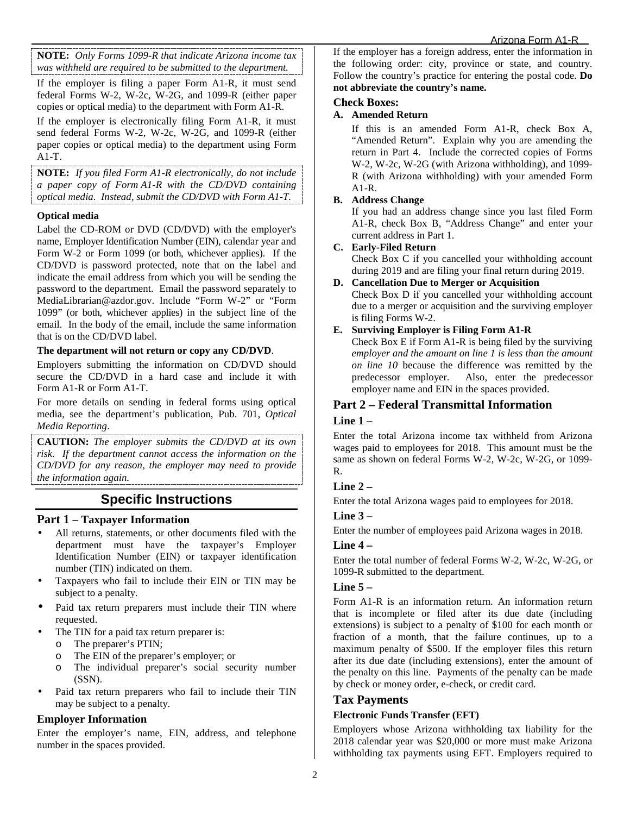**NOTE:** *Only Forms 1099-R that indicate Arizona income tax was withheld are required to be submitted to the department.*

If the employer is filing a paper Form A1-R, it must send federal Forms W-2, W-2c, W-2G, and 1099-R (either paper copies or optical media) to the department with Form A1-R.

If the employer is electronically filing Form A1-R, it must send federal Forms W-2, W-2c, W-2G, and 1099-R (either paper copies or optical media) to the department using Form A1-T.

**NOTE:** *If you filed Form A1-R electronically, do not include a paper copy of Form A1-R with the CD/DVD containing optical media. Instead, submit the CD/DVD with Form A1-T.*

#### **Optical media**

Label the CD-ROM or DVD (CD/DVD) with the employer's name, Employer Identification Number (EIN), calendar year and Form W-2 or Form 1099 (or both, whichever applies). If the CD/DVD is password protected, note that on the label and indicate the email address from which you will be sending the password to the department. Email the password separately to MediaLibrarian@azdor.gov. Include "Form W-2" or "Form 1099" (or both, whichever applies) in the subject line of the email. In the body of the email, include the same information that is on the CD/DVD label.

#### **The department will not return or copy any CD/DVD**.

Employers submitting the information on CD/DVD should secure the CD/DVD in a hard case and include it with Form A1-R or Form A1-T.

For more details on sending in federal forms using optical media, see the department's publication, Pub. 701, *Optical Media Reporting*.

**CAUTION:** *The employer submits the CD/DVD at its own risk. If the department cannot access the information on the CD/DVD for any reason, the employer may need to provide the information again.* 

## **Specific Instructions**

#### **Part 1 – Taxpayer Information**

- All returns, statements, or other documents filed with the department must have the taxpayer's Employer Identification Number (EIN) or taxpayer identification number (TIN) indicated on them.
- Taxpayers who fail to include their EIN or TIN may be subject to a penalty.
- Paid tax return preparers must include their TIN where requested.
- The TIN for a paid tax return preparer is:
	- o The preparer's PTIN;<br>o The EIN of the prepar
	- o The EIN of the preparer's employer; or<br>  $\Omega$  The individual preparer's social sec
	- The individual preparer's social security number (SSN).
- Paid tax return preparers who fail to include their TIN may be subject to a penalty.

#### **Employer Information**

Enter the employer's name, EIN, address, and telephone number in the spaces provided.

If the employer has a foreign address, enter the information in the following order: city, province or state, and country. Follow the country's practice for entering the postal code. **Do not abbreviate the country's name.**

#### **Check Boxes:**

#### **A. Amended Return**

If this is an amended Form A1-R, check Box A, "Amended Return". Explain why you are amending the return in Part 4. Include the corrected copies of Forms W-2, W-2c, W-2G (with Arizona withholding), and 1099- R (with Arizona withholding) with your amended Form A1-R.

#### **B. Address Change**

If you had an address change since you last filed Form A1-R, check Box B, "Address Change" and enter your current address in Part 1.

#### **C. Early-Filed Return**

Check Box C if you cancelled your withholding account during 2019 and are filing your final return during 2019.

#### **D. Cancellation Due to Merger or Acquisition**

Check Box D if you cancelled your withholding account due to a merger or acquisition and the surviving employer is filing Forms W-2.

#### **E. Surviving Employer is Filing Form A1-R**

Check Box E if Form A1-R is being filed by the surviving *employer and the amount on line 1 is less than the amount on line 10* because the difference was remitted by the predecessor employer. Also, enter the predecessor employer name and EIN in the spaces provided.

### **Part 2 – Federal Transmittal Information**

#### **Line 1 –**

Enter the total Arizona income tax withheld from Arizona wages paid to employees for 2018. This amount must be the same as shown on federal Forms W-2, W-2c, W-2G, or 1099- R.

#### **Line 2 –**

Enter the total Arizona wages paid to employees for 2018.

#### **Line 3 –**

Enter the number of employees paid Arizona wages in 2018.

#### **Line 4 –**

Enter the total number of federal Forms W-2, W-2c, W-2G, or 1099-R submitted to the department.

#### **Line 5 –**

Form A1-R is an information return. An information return that is incomplete or filed after its due date (including extensions) is subject to a penalty of \$100 for each month or fraction of a month, that the failure continues, up to a maximum penalty of \$500. If the employer files this return after its due date (including extensions), enter the amount of the penalty on this line. Payments of the penalty can be made by check or money order, e-check, or credit card.

#### **Tax Payments**

#### **Electronic Funds Transfer (EFT)**

Employers whose Arizona withholding tax liability for the 2018 calendar year was \$20,000 or more must make Arizona withholding tax payments using EFT. Employers required to